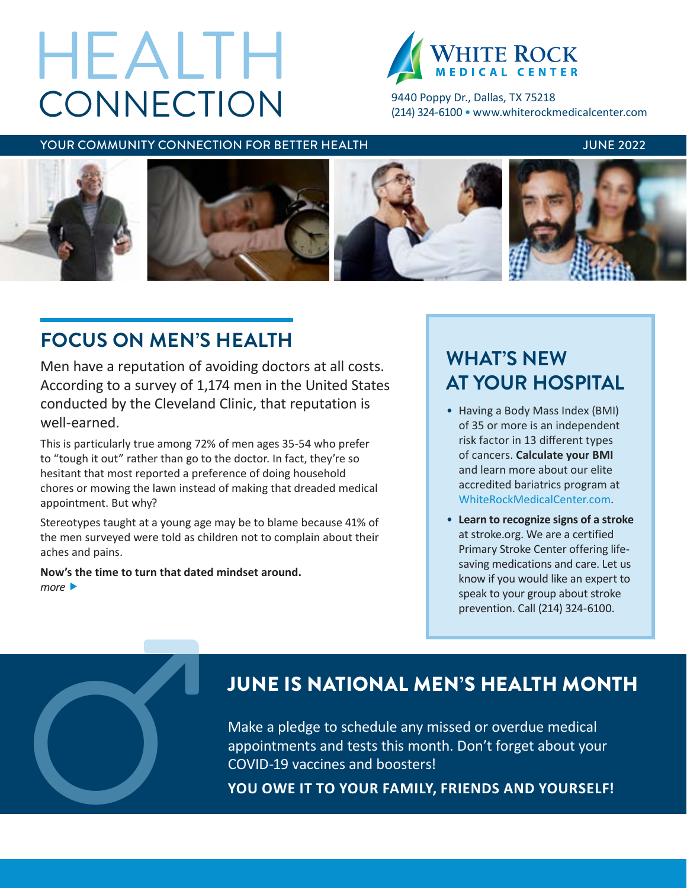# **CONNECTION** HEALTH



9440 Poppy Dr., Dallas, TX 75218 (214) 324-6100 • [www.whiterockmedicalcenter.com](http://www.whiterockmedicalcenter.com)

### YOUR COMMUNITY CONNECTION FOR BETTER HEALTH **The CONNUSSION CONNUSSION** JUNE 2022



# **FOCUS ON MEN'S HEALTH**

Men have a reputation of avoiding doctors at all costs. According to a survey of 1,174 men in the United States conducted by the Cleveland Clinic, that reputation is well-earned.

This is particularly true among 72% of men ages 35-54 who prefer to "tough it out" rather than go to the doctor. In fact, they're so hesitant that most reported a preference of doing household chores or mowing the lawn instead of making that dreaded medical appointment. But why?

Stereotypes taught at a young age may be to blame because 41% of the men surveyed were told as children not to complain about their aches and pains.

**Now's the time to turn that dated mindset around.** *more* 

# **WHAT'S NEW AT YOUR HOSPITAL**

- Having a Body Mass Index (BMI) of 35 or more is an independent risk factor in 13 different types of cancers. **Calculate your BMI** and learn more about our elite accredited bariatrics program at [WhiteRockMedicalCenter.com](http://www.WhiteRockMedicalCenter.com).
- **Learn to recognize signs of a stroke** at stroke.org. We are a certified Primary Stroke Center offering lifesaving medications and care. Let us know if you would like an expert to speak to your group about stroke prevention. Call (214) 324-6100.

# JUNE IS NATIONAL MEN'S HEALTH MONTH

Make a pledge to schedule any missed or overdue medical appointments and tests this month. Don't forget about your JUNE IS NATIONAL MEN'S HEALTH MON<sup>W</sup><br>Make a pledge to schedule any missed or overdue medical<br>appointments and tests this month. Don't forget about your<br>COVID-19 vaccines and boosters!<br>YOU OWE IT TO YOUR FAMILY, FRIENDS AND